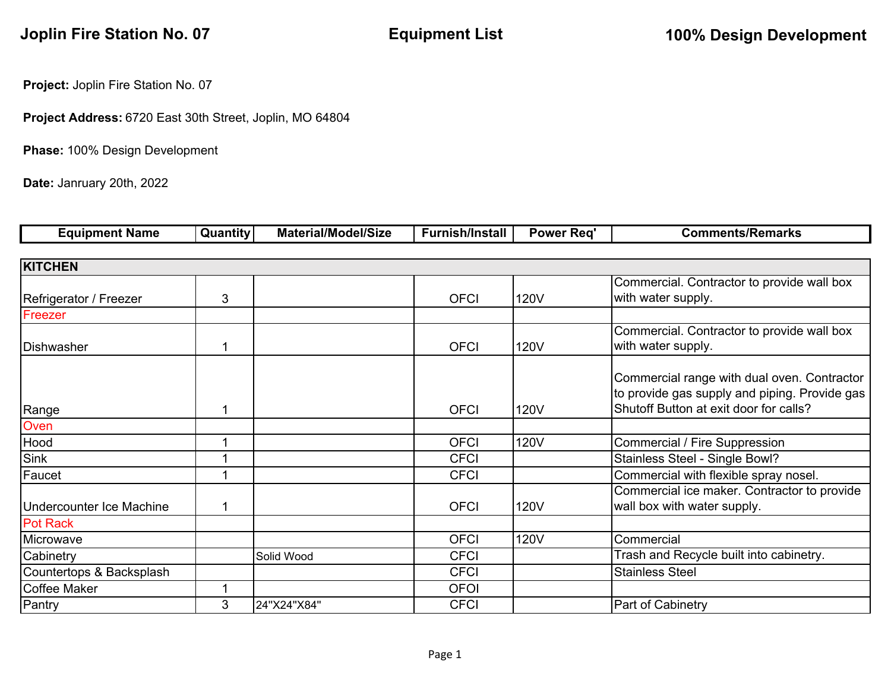**Project:** Joplin Fire Station No. 07

**Project Address:** 6720 East 30th Street, Joplin, MO 64804

**Phase:** 100% Design Development

**Date:** Janruary 20th, 2022

| <b>Equipment Name</b>           | <b>Quantity</b> | <b>Material/Model/Size</b> | <b>Furnish/Install</b> | <b>Power Req'</b> | <b>Comments/Remarks</b>                                                                                                                |
|---------------------------------|-----------------|----------------------------|------------------------|-------------------|----------------------------------------------------------------------------------------------------------------------------------------|
|                                 |                 |                            |                        |                   |                                                                                                                                        |
| <b>KITCHEN</b>                  |                 |                            |                        |                   |                                                                                                                                        |
| Refrigerator / Freezer          | 3               |                            | <b>OFCI</b>            | 120V              | Commercial. Contractor to provide wall box<br>with water supply.                                                                       |
| Freezer                         |                 |                            |                        |                   |                                                                                                                                        |
| Dishwasher                      | 1               |                            | <b>OFCI</b>            | 120V              | Commercial. Contractor to provide wall box<br>with water supply.                                                                       |
| Range                           | 1               |                            | <b>OFCI</b>            | 120V              | Commercial range with dual oven. Contractor<br>to provide gas supply and piping. Provide gas<br>Shutoff Button at exit door for calls? |
| Oven                            |                 |                            |                        |                   |                                                                                                                                        |
| Hood                            | 1               |                            | <b>OFCI</b>            | 120V              | Commercial / Fire Suppression                                                                                                          |
| <b>Sink</b>                     | 1               |                            | <b>CFCI</b>            |                   | Stainless Steel - Single Bowl?                                                                                                         |
| Faucet                          | 1               |                            | <b>CFCI</b>            |                   | Commercial with flexible spray nosel.                                                                                                  |
| <b>Undercounter Ice Machine</b> | 1               |                            | <b>OFCI</b>            | 120V              | Commercial ice maker. Contractor to provide<br>wall box with water supply.                                                             |
| <b>Pot Rack</b>                 |                 |                            |                        |                   |                                                                                                                                        |
| Microwave                       |                 |                            | <b>OFCI</b>            | <b>120V</b>       | Commercial                                                                                                                             |
| Cabinetry                       |                 | Solid Wood                 | <b>CFCI</b>            |                   | Trash and Recycle built into cabinetry.                                                                                                |
| Countertops & Backsplash        |                 |                            | <b>CFCI</b>            |                   | <b>Stainless Steel</b>                                                                                                                 |
| Coffee Maker                    | 1               |                            | <b>OFOI</b>            |                   |                                                                                                                                        |
| Pantry                          | 3               | 24"X24"X84"                | <b>CFCI</b>            |                   | Part of Cabinetry                                                                                                                      |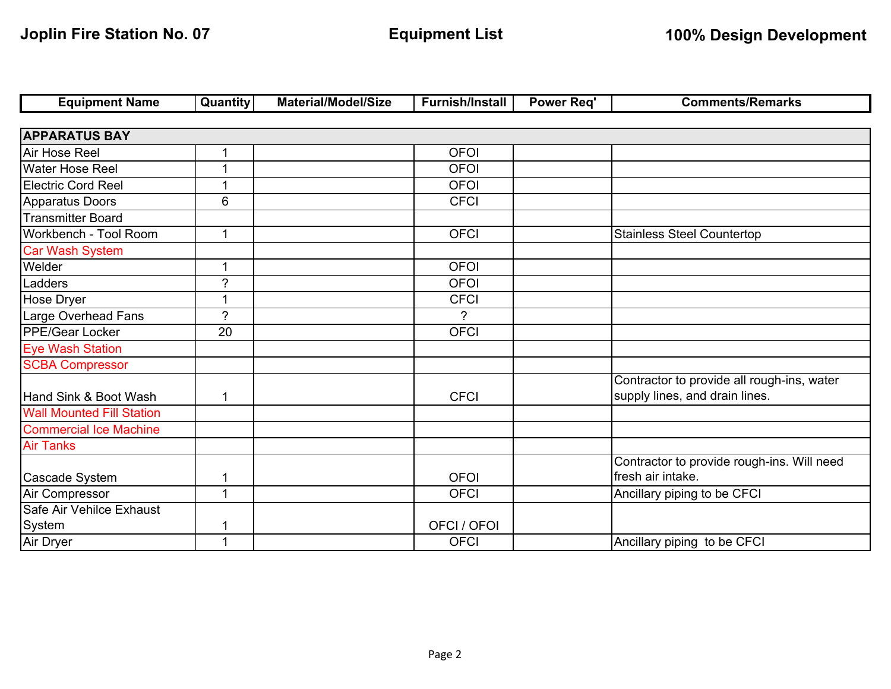| <b>Equipment Name</b>            | <b>Quantity</b>      | <b>Material/Model/Size</b> | <b>Furnish/Install</b> | <b>Power Req'</b> | <b>Comments/Remarks</b>                                                      |
|----------------------------------|----------------------|----------------------------|------------------------|-------------------|------------------------------------------------------------------------------|
|                                  |                      |                            |                        |                   |                                                                              |
| <b>APPARATUS BAY</b>             |                      |                            |                        |                   |                                                                              |
| Air Hose Reel                    |                      |                            | <b>OFOI</b>            |                   |                                                                              |
| Water Hose Reel                  |                      |                            | <b>OFOI</b>            |                   |                                                                              |
| <b>Electric Cord Reel</b>        |                      |                            | <b>OFOI</b>            |                   |                                                                              |
| Apparatus Doors                  | 6                    |                            | <b>CFCI</b>            |                   |                                                                              |
| <b>Transmitter Board</b>         |                      |                            |                        |                   |                                                                              |
| Workbench - Tool Room            | $\mathbf 1$          |                            | <b>OFCI</b>            |                   | <b>Stainless Steel Countertop</b>                                            |
| <b>Car Wash System</b>           |                      |                            |                        |                   |                                                                              |
| Welder                           |                      |                            | <b>OFOI</b>            |                   |                                                                              |
| Ladders                          | $\gamma$             |                            | <b>OFOI</b>            |                   |                                                                              |
| Hose Dryer                       |                      |                            | <b>CFCI</b>            |                   |                                                                              |
| Large Overhead Fans              | $\overline{?}$       |                            | $\gamma$               |                   |                                                                              |
| PPE/Gear Locker                  | 20                   |                            | <b>OFCI</b>            |                   |                                                                              |
| Eye Wash Station                 |                      |                            |                        |                   |                                                                              |
| <b>SCBA Compressor</b>           |                      |                            |                        |                   |                                                                              |
| Hand Sink & Boot Wash            |                      |                            | <b>CFCI</b>            |                   | Contractor to provide all rough-ins, water<br>supply lines, and drain lines. |
| <b>Wall Mounted Fill Station</b> |                      |                            |                        |                   |                                                                              |
| <b>Commercial Ice Machine</b>    |                      |                            |                        |                   |                                                                              |
| <b>Air Tanks</b>                 |                      |                            |                        |                   |                                                                              |
|                                  |                      |                            |                        |                   | Contractor to provide rough-ins. Will need                                   |
| Cascade System                   |                      |                            | <b>OFOI</b>            |                   | fresh air intake.                                                            |
| Air Compressor                   | 1                    |                            | <b>OFCI</b>            |                   | Ancillary piping to be CFCI                                                  |
| Safe Air Vehilce Exhaust         |                      |                            |                        |                   |                                                                              |
| System                           |                      |                            | OFCI / OFOI            |                   |                                                                              |
| <b>Air Dryer</b>                 | $\blacktriangleleft$ |                            | <b>OFCI</b>            |                   | Ancillary piping to be CFCI                                                  |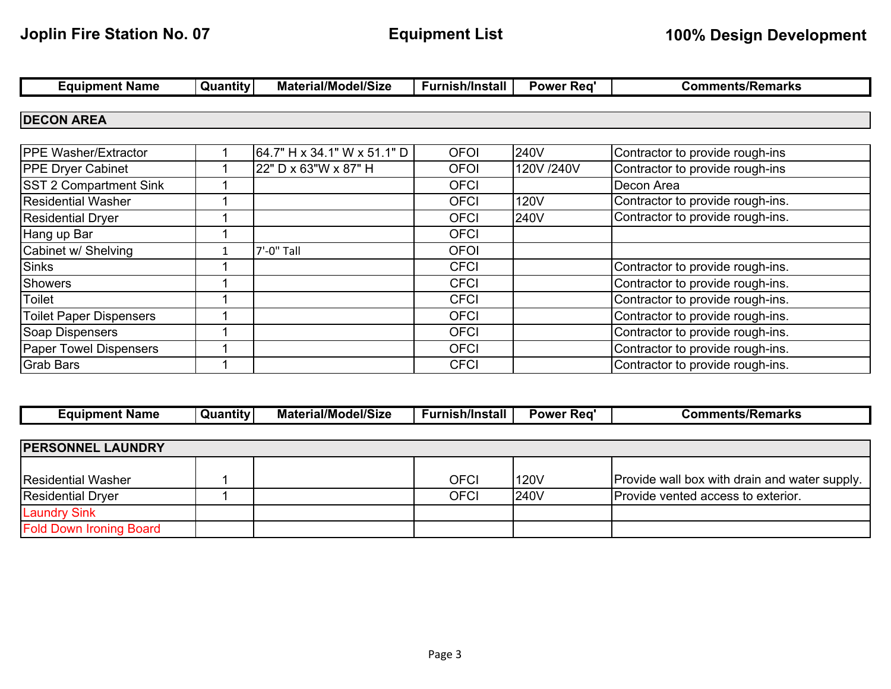| <b>Equipment Name</b>          | <b>Quantity</b> | <b>Material/Model/Size</b>  | <b>Furnish/Install</b> | <b>Power Req'</b> | <b>Comments/Remarks</b>          |
|--------------------------------|-----------------|-----------------------------|------------------------|-------------------|----------------------------------|
|                                |                 |                             |                        |                   |                                  |
| <b>DECON AREA</b>              |                 |                             |                        |                   |                                  |
|                                |                 |                             |                        |                   |                                  |
| <b>PPE Washer/Extractor</b>    |                 | 64.7" H x 34.1" W x 51.1" D | <b>OFOI</b>            | 240V              | Contractor to provide rough-ins  |
| <b>PPE Dryer Cabinet</b>       |                 | 22" D x 63"W x 87" H        | <b>OFOI</b>            | 120V /240V        | Contractor to provide rough-ins  |
| <b>SST 2 Compartment Sink</b>  |                 |                             | <b>OFCI</b>            |                   | Decon Area                       |
| <b>Residential Washer</b>      |                 |                             | <b>OFCI</b>            | 120V              | Contractor to provide rough-ins. |
| <b>Residential Dryer</b>       |                 |                             | <b>OFCI</b>            | 240V              | Contractor to provide rough-ins. |
| Hang up Bar                    |                 |                             | <b>OFCI</b>            |                   |                                  |
| Cabinet w/ Shelving            |                 | 7'-0" Tall                  | <b>OFOI</b>            |                   |                                  |
| <b>Sinks</b>                   |                 |                             | <b>CFCI</b>            |                   | Contractor to provide rough-ins. |
| Showers                        |                 |                             | <b>CFCI</b>            |                   | Contractor to provide rough-ins. |
| Toilet                         |                 |                             | <b>CFCI</b>            |                   | Contractor to provide rough-ins. |
| <b>Toilet Paper Dispensers</b> |                 |                             | <b>OFCI</b>            |                   | Contractor to provide rough-ins. |
| Soap Dispensers                |                 |                             | <b>OFCI</b>            |                   | Contractor to provide rough-ins. |
| <b>Paper Towel Dispensers</b>  |                 |                             | <b>OFCI</b>            |                   | Contractor to provide rough-ins. |
| <b>Grab Bars</b>               |                 |                             | <b>CFCI</b>            |                   | Contractor to provide rough-ins. |

| $\sim$<br>Equipment Name | .<br>. Quantity | <b>Material/Model/Size</b> | nish/Install/<br>. urr | 'Rea'<br><b>Power</b> | <b>Remarks</b> /<br>`omments/.<br>. JU. |
|--------------------------|-----------------|----------------------------|------------------------|-----------------------|-----------------------------------------|
|                          |                 |                            |                        |                       |                                         |

| <b>PERSONNEL LAUNDRY</b>       |  |  |             |      |                                                      |  |  |
|--------------------------------|--|--|-------------|------|------------------------------------------------------|--|--|
|                                |  |  |             |      |                                                      |  |  |
| <b>Residential Washer</b>      |  |  | <b>OFCI</b> | 120V | <b>Provide wall box with drain and water supply.</b> |  |  |
| <b>Residential Dryer</b>       |  |  | <b>OFCI</b> | 240V | Provide vented access to exterior.                   |  |  |
| <b>Laundry Sink</b>            |  |  |             |      |                                                      |  |  |
| <b>Fold Down Ironing Board</b> |  |  |             |      |                                                      |  |  |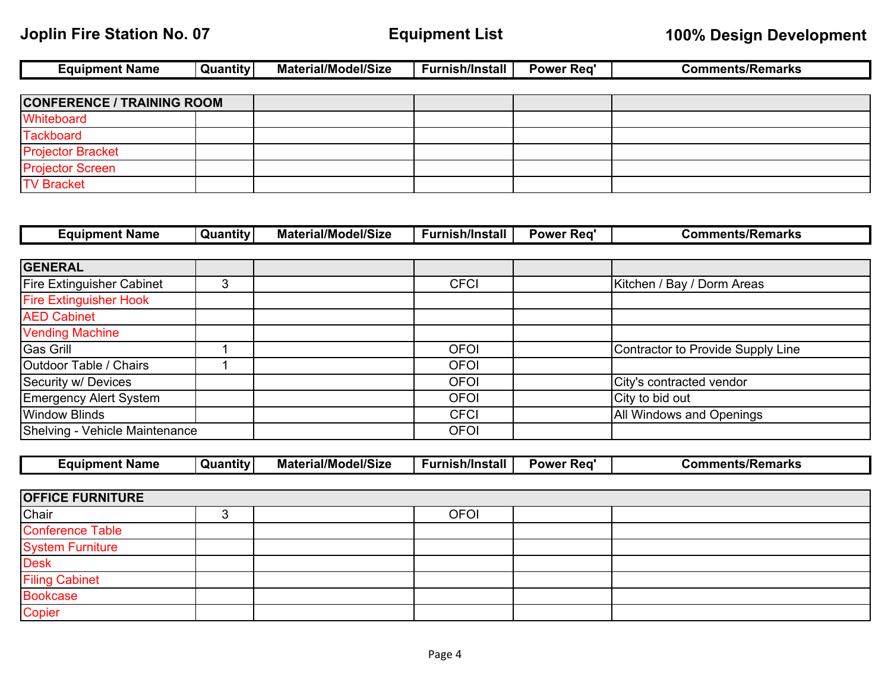| <b>Equipment Name</b>             | <b>Quantity</b> | Material/Model/Size        | <b>Furnish/Install</b> | <b>Power Req'</b> | <b>Comments/Remarks</b> |
|-----------------------------------|-----------------|----------------------------|------------------------|-------------------|-------------------------|
|                                   |                 |                            |                        |                   |                         |
| <b>CONFERENCE / TRAINING ROOM</b> |                 |                            |                        |                   |                         |
| <b>Whiteboard</b>                 |                 |                            |                        |                   |                         |
| <b>Tackboard</b>                  |                 |                            |                        |                   |                         |
| <b>Projector Bracket</b>          |                 |                            |                        |                   |                         |
| <b>Projector Screen</b>           |                 |                            |                        |                   |                         |
| <b>TV Bracket</b>                 |                 |                            |                        |                   |                         |
|                                   |                 |                            |                        |                   |                         |
|                                   |                 |                            |                        |                   |                         |
| <b>Equipment Name</b>             | <b>Quantity</b> | <b>Material/Model/Size</b> | <b>Furnish/Install</b> | <b>Power Req'</b> | <b>Comments/Remarks</b> |
|                                   |                 |                            |                        |                   |                         |

| <b>GENERAL</b>                   |   |             |                                   |
|----------------------------------|---|-------------|-----------------------------------|
| <b>Fire Extinguisher Cabinet</b> | 3 | <b>CFCI</b> | Kitchen / Bay / Dorm Areas        |
| <b>Fire Extinguisher Hook</b>    |   |             |                                   |
| <b>AED Cabinet</b>               |   |             |                                   |
| <b>Vending Machine</b>           |   |             |                                   |
| <b>Gas Grill</b>                 |   | <b>OFOI</b> | Contractor to Provide Supply Line |
| Outdoor Table / Chairs           |   | <b>OFOI</b> |                                   |
| Security w/ Devices              |   | <b>OFOI</b> | City's contracted vendor          |
| <b>Emergency Alert System</b>    |   | <b>OFOI</b> | City to bid out                   |
| <b>Window Blinds</b>             |   | <b>CFCI</b> | All Windows and Openings          |
| Shelving - Vehicle Maintenance   |   | <b>OFOI</b> |                                   |

| <b>Material/Model/Size</b><br>h/Install<br>__Quantity_<br>Rea'<br>าments/Remarks<br>Power<br>auipme:<br>ent<br>Name<br>$\mathsf{r}$ ur $\mathsf{r}$<br>∴∩m<br>$\ldots$ of $\blacksquare$<br>וס וכ<br>. |  |  |  |
|--------------------------------------------------------------------------------------------------------------------------------------------------------------------------------------------------------|--|--|--|
|                                                                                                                                                                                                        |  |  |  |

| <b>OFFICE FURNITURE</b> |  |  |             |  |  |  |
|-------------------------|--|--|-------------|--|--|--|
| Chair                   |  |  | <b>OFOI</b> |  |  |  |
| <b>Conference Table</b> |  |  |             |  |  |  |
| <b>System Furniture</b> |  |  |             |  |  |  |
| <b>Desk</b>             |  |  |             |  |  |  |
| <b>Filing Cabinet</b>   |  |  |             |  |  |  |
| <b>Bookcase</b>         |  |  |             |  |  |  |
| Copier                  |  |  |             |  |  |  |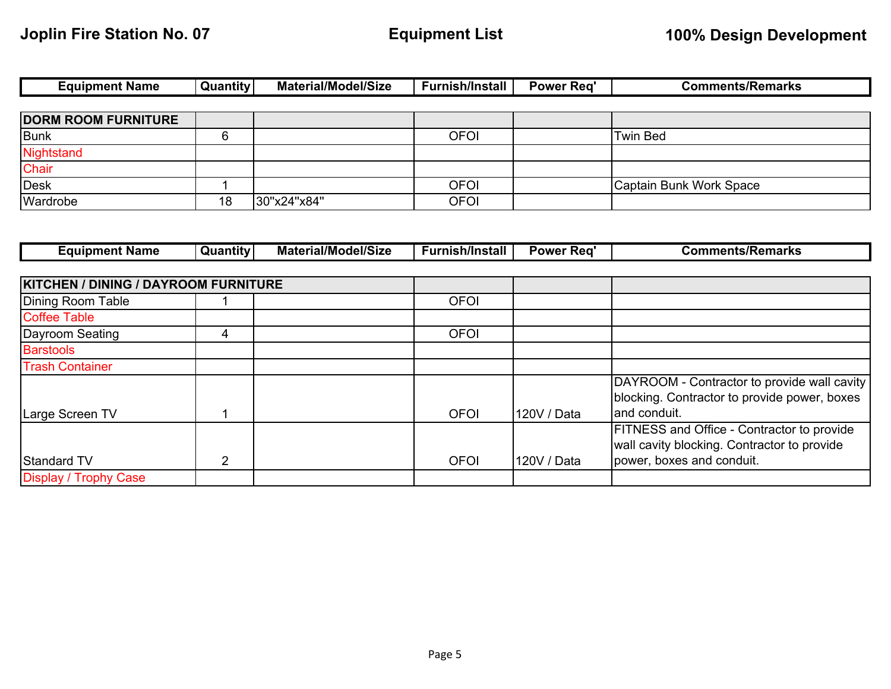Display / Trophy Case

FITNESS and Office - Contractor to provide

wall cavity blocking. Contractor to provide

power, boxes and conduit.

| <b>Equipment Name</b>                       | <b>Quantity</b> | <b>Material/Model/Size</b> | <b>Furnish/Install</b> | <b>Power Req'</b> | <b>Comments/Remarks</b>                                                                     |
|---------------------------------------------|-----------------|----------------------------|------------------------|-------------------|---------------------------------------------------------------------------------------------|
|                                             |                 |                            |                        |                   |                                                                                             |
| <b>DORM ROOM FURNITURE</b>                  |                 |                            |                        |                   |                                                                                             |
| <b>Bunk</b>                                 | 6               |                            | <b>OFOI</b>            |                   | Twin Bed                                                                                    |
| Nightstand                                  |                 |                            |                        |                   |                                                                                             |
| Chair                                       |                 |                            |                        |                   |                                                                                             |
| <b>Desk</b>                                 |                 |                            | <b>OFOI</b>            |                   | Captain Bunk Work Space                                                                     |
| Wardrobe                                    | 18              | 30"x24"x84"                | <b>OFOI</b>            |                   |                                                                                             |
|                                             |                 |                            |                        |                   |                                                                                             |
|                                             |                 |                            |                        |                   |                                                                                             |
| <b>Equipment Name</b>                       | <b>Quantity</b> | <b>Material/Model/Size</b> | <b>Furnish/Install</b> | <b>Power Req'</b> | <b>Comments/Remarks</b>                                                                     |
|                                             |                 |                            |                        |                   |                                                                                             |
| <b>KITCHEN / DINING / DAYROOM FURNITURE</b> |                 |                            |                        |                   |                                                                                             |
| Dining Room Table                           |                 |                            | <b>OFOI</b>            |                   |                                                                                             |
| <b>Coffee Table</b>                         |                 |                            |                        |                   |                                                                                             |
| Dayroom Seating                             | 4               |                            | <b>OFOI</b>            |                   |                                                                                             |
| <b>Barstools</b>                            |                 |                            |                        |                   |                                                                                             |
| <b>Trash Container</b>                      |                 |                            |                        |                   |                                                                                             |
| Large Screen TV                             |                 |                            |                        |                   | DAYROOM - Contractor to provide wall cavity<br>blocking. Contractor to provide power, boxes |

Standard TV 2 OFOI |120V / Data<br>District to the contract of the contract of the contract of the contract of the contract of the contract of th